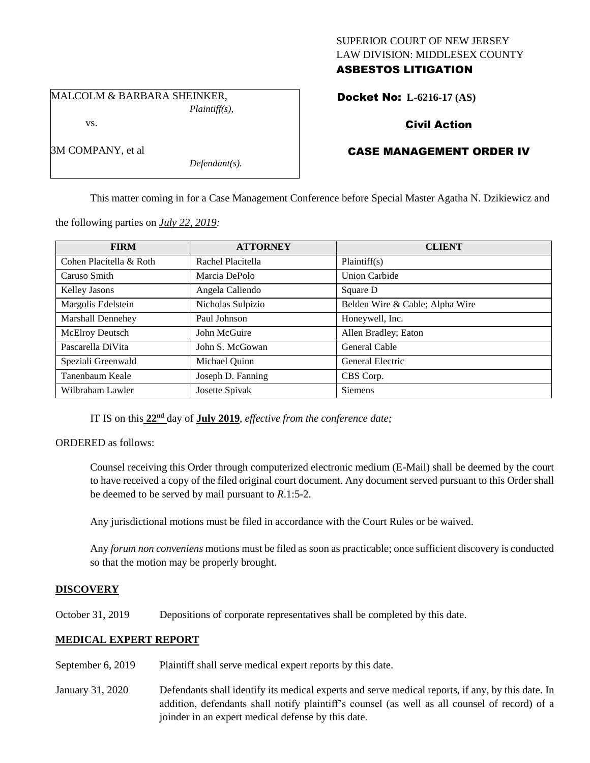## SUPERIOR COURT OF NEW JERSEY LAW DIVISION: MIDDLESEX COUNTY ASBESTOS LITIGATION

MALCOLM & BARBARA SHEINKER,

vs.

3M COMPANY, et al

*Plaintiff(s),*

*Defendant(s).*

# Docket No: **L-6216-17 (AS)**

## Civil Action

## CASE MANAGEMENT ORDER IV

This matter coming in for a Case Management Conference before Special Master Agatha N. Dzikiewicz and

the following parties on *July 22, 2019:*

| <b>FIRM</b>              | <b>ATTORNEY</b>   | <b>CLIENT</b>                   |
|--------------------------|-------------------|---------------------------------|
| Cohen Placitella & Roth  | Rachel Placitella | Plaintiff(s)                    |
| Caruso Smith             | Marcia DePolo     | <b>Union Carbide</b>            |
| Kelley Jasons            | Angela Caliendo   | Square D                        |
| Margolis Edelstein       | Nicholas Sulpizio | Belden Wire & Cable; Alpha Wire |
| <b>Marshall Dennehey</b> | Paul Johnson      | Honeywell, Inc.                 |
| McElroy Deutsch          | John McGuire      | Allen Bradley; Eaton            |
| Pascarella DiVita        | John S. McGowan   | General Cable                   |
| Speziali Greenwald       | Michael Quinn     | General Electric                |
| Tanenbaum Keale          | Joseph D. Fanning | CBS Corp.                       |
| Wilbraham Lawler         | Josette Spivak    | <b>Siemens</b>                  |

IT IS on this **22nd** day of **July 2019**, *effective from the conference date;*

ORDERED as follows:

Counsel receiving this Order through computerized electronic medium (E-Mail) shall be deemed by the court to have received a copy of the filed original court document. Any document served pursuant to this Order shall be deemed to be served by mail pursuant to *R*.1:5-2.

Any jurisdictional motions must be filed in accordance with the Court Rules or be waived.

Any *forum non conveniens* motions must be filed as soon as practicable; once sufficient discovery is conducted so that the motion may be properly brought.

## **DISCOVERY**

October 31, 2019 Depositions of corporate representatives shall be completed by this date.

## **MEDICAL EXPERT REPORT**

- September 6, 2019 Plaintiff shall serve medical expert reports by this date.
- January 31, 2020 Defendants shall identify its medical experts and serve medical reports, if any, by this date. In addition, defendants shall notify plaintiff's counsel (as well as all counsel of record) of a joinder in an expert medical defense by this date.